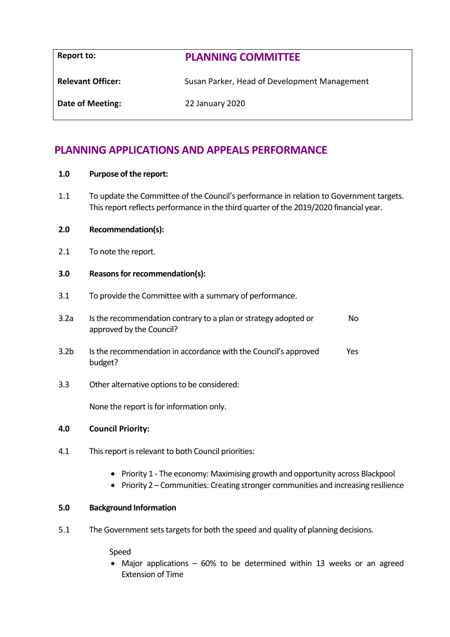| <b>Report to:</b>        | <b>PLANNING COMMITTEE</b>                    |
|--------------------------|----------------------------------------------|
| <b>Relevant Officer:</b> | Susan Parker, Head of Development Management |
| Date of Meeting:         | 22 January 2020                              |

# **PLANNING APPLICATIONS AND APPEALS PERFORMANCE**

- **1.0 Purpose of the report:**
- 1.1 To update the Committee of the Council's performance in relation to Government targets. This report reflects performance in the third quarter of the 2019/2020 financial year.

# **2.0 Recommendation(s):**

2.1 To note the report.

# **3.0 Reasons for recommendation(s):**

3.1 To provide the Committee with a summary of performance.

| 3.2a | Is the recommendation contrary to a plan or strategy adopted or |  |
|------|-----------------------------------------------------------------|--|
|      | approved by the Council?                                        |  |

- 3.2b Is the recommendation in accordance with the Council's approved budget? Yes
- 3.3 Other alternative options to be considered:

None the report is for information only.

# **4.0 Council Priority:**

- 4.1 This report is relevant to both Council priorities:
	- Priority 1 The economy: Maximising growth and opportunity across Blackpool
	- Priority 2 Communities: Creating stronger communities and increasing resilience

# **5.0 Background Information**

5.1 The Government sets targets for both the speed and quality of planning decisions.

Speed

 Major applications – 60% to be determined within 13 weeks or an agreed Extension of Time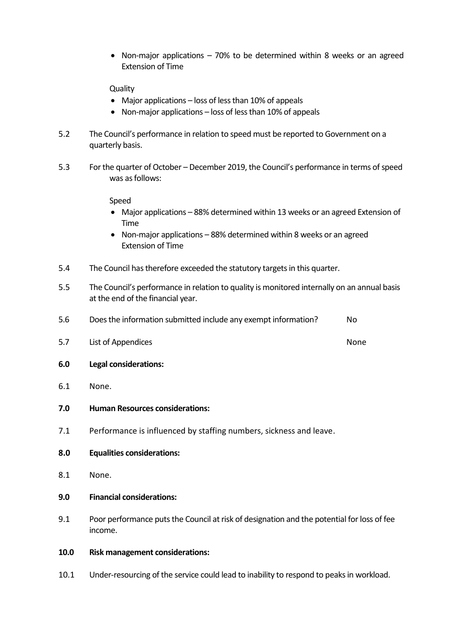Non-major applications – 70% to be determined within 8 weeks or an agreed Extension of Time

**Quality** 

- Major applications loss of less than 10% of appeals
- Non-major applications loss of less than 10% of appeals
- 5.2 The Council's performance in relation to speed must be reported to Government on a quarterly basis.
- 5.3 For the quarter of October December 2019, the Council's performance in terms of speed was as follows:

Speed

- Major applications 88% determined within 13 weeks or an agreed Extension of Time
- Non-major applications 88% determined within 8 weeks or an agreed Extension of Time
- 5.4 The Council has therefore exceeded the statutory targets in this quarter.
- 5.5 The Council's performance in relation to quality is monitored internally on an annual basis at the end of the financial year.
- 5.6 Does the information submitted include any exempt information? No
- 5.7 List of Appendices None
- **6.0 Legal considerations:**
- 6.1 None.
- **7.0 Human Resources considerations:**
- 7.1 Performance is influenced by staffing numbers, sickness and leave.
- **8.0 Equalities considerations:**
- 8.1 None.
- **9.0 Financial considerations:**
- 9.1 Poor performance puts the Council at risk of designation and the potential for loss of fee income.
- **10.0 Risk management considerations:**
- 10.1 Under-resourcing of the service could lead to inability to respond to peaks in workload.